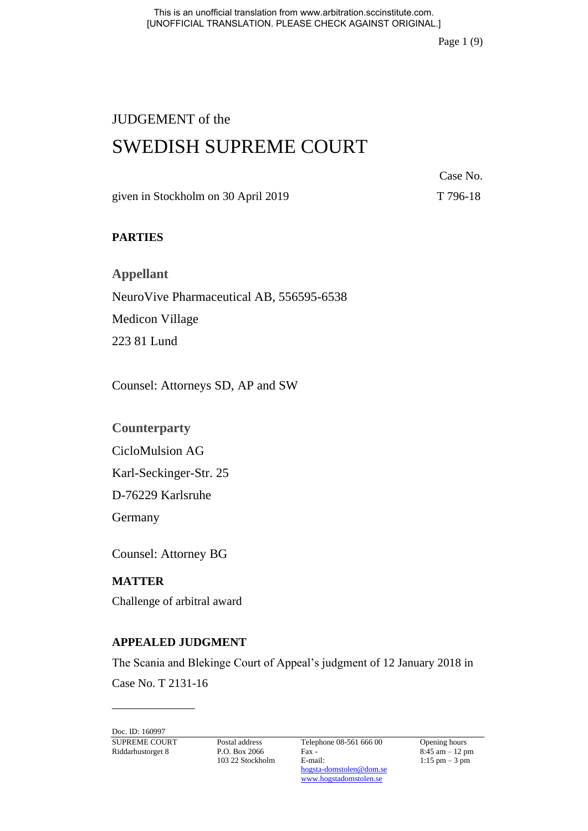Page 1 (9)

# JUDGEMENT of the

# SWEDISH SUPREME COURT

Case No.

given in Stockholm on 30 April 2019 T 796-18

# **PARTIES**

**Appellant** NeuroVive Pharmaceutical AB, 556595-6538 Medicon Village 223 81 Lund

Counsel: Attorneys SD, AP and SW

**Counterparty**

CicloMulsion AG

Karl-Seckinger-Str. 25

D-76229 Karlsruhe

Germany

Counsel: Attorney BG

# **MATTER**

Challenge of arbitral award

## **APPEALED JUDGMENT**

The Scania and Blekinge Court of Appeal's judgment of 12 January 2018 in

Case No. T 2131-16 \_\_\_\_\_\_\_\_\_\_\_\_\_\_

Doc. ID: 160997

103 22 Stockholm

SUPREME COURT Postal address Telephone 08-561 666 00 Opening hours<br>Riddarhustorget 8 P.O. Box 2066 Fax - 8:45 am - 12 pm Riddarhustorget 8 P.O. Box 2066 Fax - 8:45 am – 12 pm<br>103 22 Stockholm E-mail: 1:15 pm – 3 pm [hogsta-domstolen@dom.se](mailto:hogsta-domstolen@dom.se) [www.hogstadomstolen.se](http://www.hogstadomstolen.se/)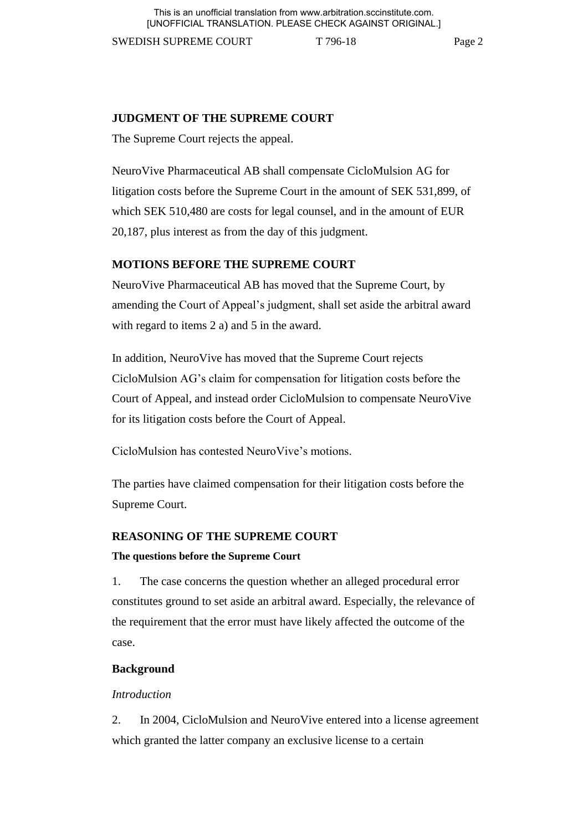This is an unofficial translation from www.arbitration.sccinstitute.com. [UNOFFICIAL TRANSLATION. PLEASE CHECK AGAINST ORIGINAL.]

SWEDISH SUPREME COURT T 796-18 Page 2

## **JUDGMENT OF THE SUPREME COURT**

The Supreme Court rejects the appeal.

NeuroVive Pharmaceutical AB shall compensate CicloMulsion AG for litigation costs before the Supreme Court in the amount of SEK 531,899, of which SEK 510,480 are costs for legal counsel, and in the amount of EUR 20,187, plus interest as from the day of this judgment.

### **MOTIONS BEFORE THE SUPREME COURT**

NeuroVive Pharmaceutical AB has moved that the Supreme Court, by amending the Court of Appeal's judgment, shall set aside the arbitral award with regard to items 2 a) and 5 in the award.

In addition, NeuroVive has moved that the Supreme Court rejects CicloMulsion AG's claim for compensation for litigation costs before the Court of Appeal, and instead order CicloMulsion to compensate NeuroVive for its litigation costs before the Court of Appeal.

CicloMulsion has contested NeuroVive's motions.

The parties have claimed compensation for their litigation costs before the Supreme Court.

### **REASONING OF THE SUPREME COURT**

#### **The questions before the Supreme Court**

1. The case concerns the question whether an alleged procedural error constitutes ground to set aside an arbitral award. Especially, the relevance of the requirement that the error must have likely affected the outcome of the case.

#### **Background**

#### *Introduction*

2. In 2004, CicloMulsion and NeuroVive entered into a license agreement which granted the latter company an exclusive license to a certain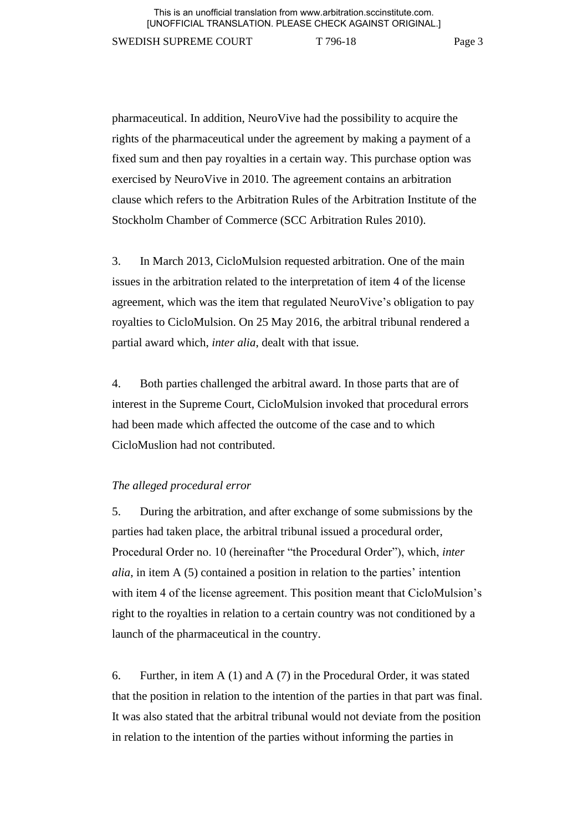pharmaceutical. In addition, NeuroVive had the possibility to acquire the rights of the pharmaceutical under the agreement by making a payment of a fixed sum and then pay royalties in a certain way. This purchase option was exercised by NeuroVive in 2010. The agreement contains an arbitration clause which refers to the Arbitration Rules of the Arbitration Institute of the Stockholm Chamber of Commerce (SCC Arbitration Rules 2010).

3. In March 2013, CicloMulsion requested arbitration. One of the main issues in the arbitration related to the interpretation of item 4 of the license agreement, which was the item that regulated NeuroVive's obligation to pay royalties to CicloMulsion. On 25 May 2016, the arbitral tribunal rendered a partial award which, *inter alia*, dealt with that issue.

4. Both parties challenged the arbitral award. In those parts that are of interest in the Supreme Court, CicloMulsion invoked that procedural errors had been made which affected the outcome of the case and to which CicloMuslion had not contributed.

### *The alleged procedural error*

5. During the arbitration, and after exchange of some submissions by the parties had taken place, the arbitral tribunal issued a procedural order, Procedural Order no. 10 (hereinafter "the Procedural Order"), which, *inter alia*, in item A (5) contained a position in relation to the parties' intention with item 4 of the license agreement. This position meant that CicloMulsion's right to the royalties in relation to a certain country was not conditioned by a launch of the pharmaceutical in the country.

6. Further, in item A (1) and A (7) in the Procedural Order, it was stated that the position in relation to the intention of the parties in that part was final. It was also stated that the arbitral tribunal would not deviate from the position in relation to the intention of the parties without informing the parties in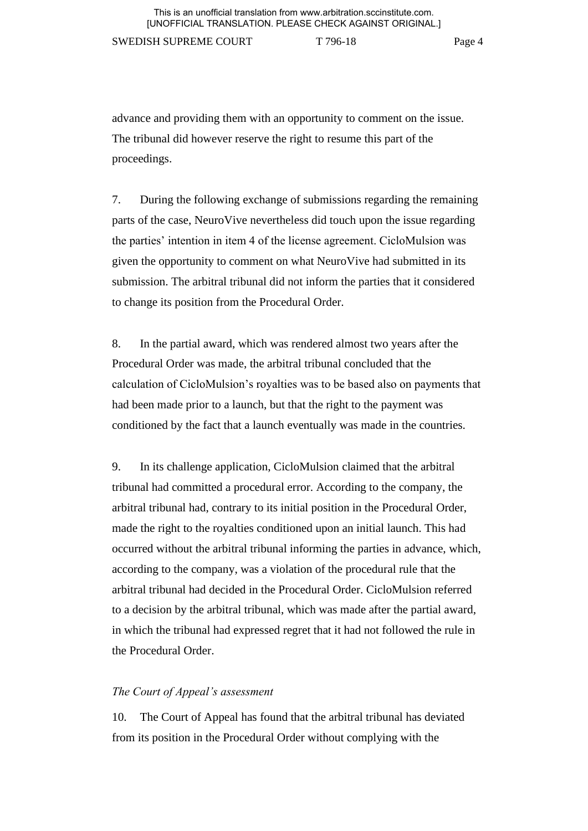advance and providing them with an opportunity to comment on the issue. The tribunal did however reserve the right to resume this part of the proceedings.

7. During the following exchange of submissions regarding the remaining parts of the case, NeuroVive nevertheless did touch upon the issue regarding the parties' intention in item 4 of the license agreement. CicloMulsion was given the opportunity to comment on what NeuroVive had submitted in its submission. The arbitral tribunal did not inform the parties that it considered to change its position from the Procedural Order.

8. In the partial award, which was rendered almost two years after the Procedural Order was made, the arbitral tribunal concluded that the calculation of CicloMulsion's royalties was to be based also on payments that had been made prior to a launch, but that the right to the payment was conditioned by the fact that a launch eventually was made in the countries.

9. In its challenge application, CicloMulsion claimed that the arbitral tribunal had committed a procedural error. According to the company, the arbitral tribunal had, contrary to its initial position in the Procedural Order, made the right to the royalties conditioned upon an initial launch. This had occurred without the arbitral tribunal informing the parties in advance, which, according to the company, was a violation of the procedural rule that the arbitral tribunal had decided in the Procedural Order. CicloMulsion referred to a decision by the arbitral tribunal, which was made after the partial award, in which the tribunal had expressed regret that it had not followed the rule in the Procedural Order.

#### *The Court of Appeal's assessment*

10. The Court of Appeal has found that the arbitral tribunal has deviated from its position in the Procedural Order without complying with the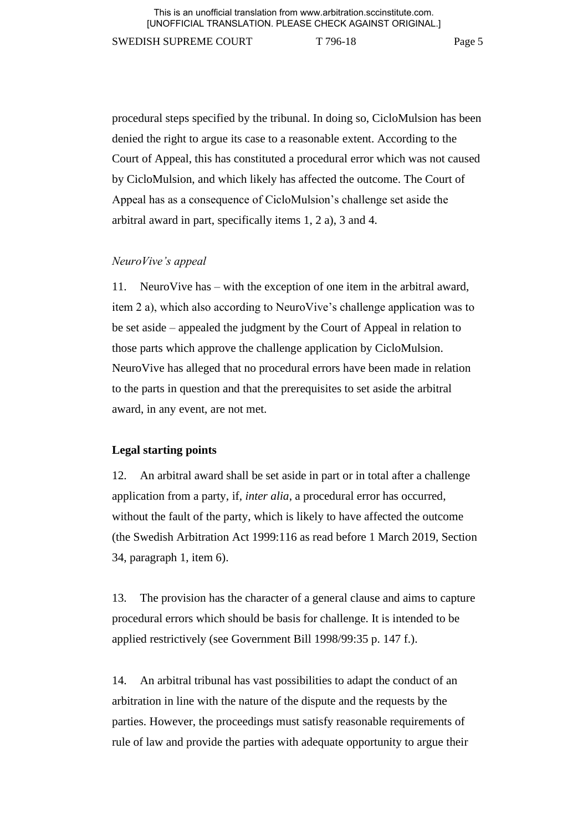procedural steps specified by the tribunal. In doing so, CicloMulsion has been denied the right to argue its case to a reasonable extent. According to the Court of Appeal, this has constituted a procedural error which was not caused by CicloMulsion, and which likely has affected the outcome. The Court of Appeal has as a consequence of CicloMulsion's challenge set aside the arbitral award in part, specifically items 1, 2 a), 3 and 4.

### *NeuroVive's appeal*

11. NeuroVive has – with the exception of one item in the arbitral award, item 2 a), which also according to NeuroVive's challenge application was to be set aside – appealed the judgment by the Court of Appeal in relation to those parts which approve the challenge application by CicloMulsion. NeuroVive has alleged that no procedural errors have been made in relation to the parts in question and that the prerequisites to set aside the arbitral award, in any event, are not met.

#### **Legal starting points**

12. An arbitral award shall be set aside in part or in total after a challenge application from a party, if, *inter alia*, a procedural error has occurred, without the fault of the party, which is likely to have affected the outcome (the Swedish Arbitration Act 1999:116 as read before 1 March 2019, Section 34, paragraph 1, item 6).

13. The provision has the character of a general clause and aims to capture procedural errors which should be basis for challenge. It is intended to be applied restrictively (see Government Bill 1998/99:35 p. 147 f.).

14. An arbitral tribunal has vast possibilities to adapt the conduct of an arbitration in line with the nature of the dispute and the requests by the parties. However, the proceedings must satisfy reasonable requirements of rule of law and provide the parties with adequate opportunity to argue their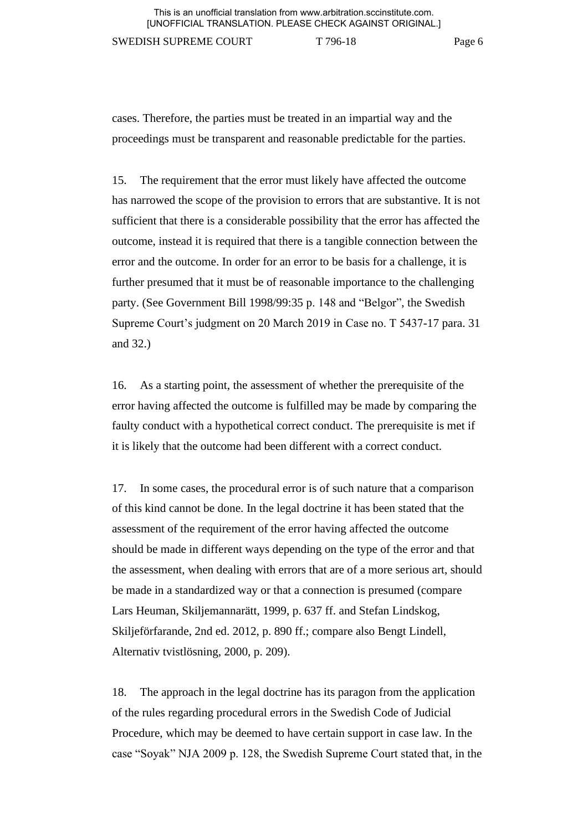cases. Therefore, the parties must be treated in an impartial way and the proceedings must be transparent and reasonable predictable for the parties.

15. The requirement that the error must likely have affected the outcome has narrowed the scope of the provision to errors that are substantive. It is not sufficient that there is a considerable possibility that the error has affected the outcome, instead it is required that there is a tangible connection between the error and the outcome. In order for an error to be basis for a challenge, it is further presumed that it must be of reasonable importance to the challenging party. (See Government Bill 1998/99:35 p. 148 and "Belgor", the Swedish Supreme Court's judgment on 20 March 2019 in Case no. T 5437-17 para. 31 and 32.)

16. As a starting point, the assessment of whether the prerequisite of the error having affected the outcome is fulfilled may be made by comparing the faulty conduct with a hypothetical correct conduct. The prerequisite is met if it is likely that the outcome had been different with a correct conduct.

17. In some cases, the procedural error is of such nature that a comparison of this kind cannot be done. In the legal doctrine it has been stated that the assessment of the requirement of the error having affected the outcome should be made in different ways depending on the type of the error and that the assessment, when dealing with errors that are of a more serious art, should be made in a standardized way or that a connection is presumed (compare Lars Heuman, Skiljemannarätt, 1999, p. 637 ff. and Stefan Lindskog, Skiljeförfarande, 2nd ed. 2012, p. 890 ff.; compare also Bengt Lindell, Alternativ tvistlösning, 2000, p. 209).

18. The approach in the legal doctrine has its paragon from the application of the rules regarding procedural errors in the Swedish Code of Judicial Procedure, which may be deemed to have certain support in case law. In the case "Soyak" NJA 2009 p. 128, the Swedish Supreme Court stated that, in the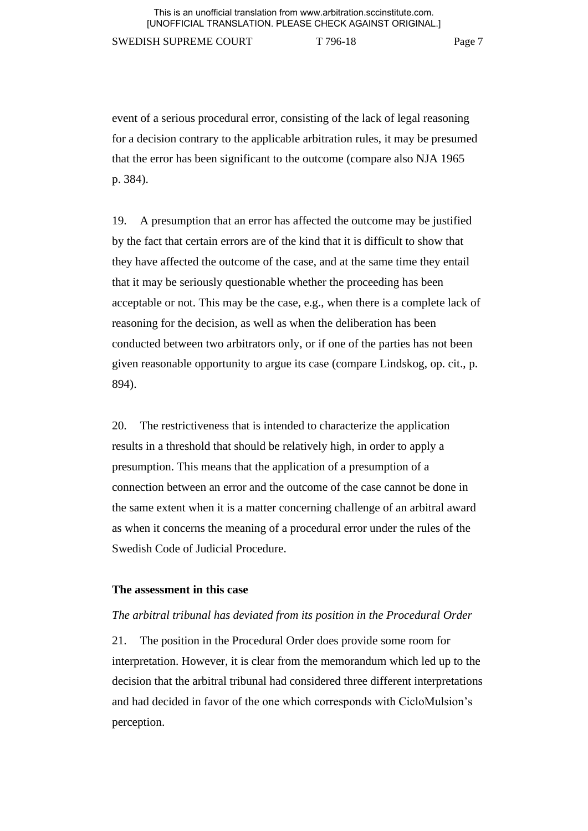event of a serious procedural error, consisting of the lack of legal reasoning for a decision contrary to the applicable arbitration rules, it may be presumed that the error has been significant to the outcome (compare also NJA 1965 p. 384).

19. A presumption that an error has affected the outcome may be justified by the fact that certain errors are of the kind that it is difficult to show that they have affected the outcome of the case, and at the same time they entail that it may be seriously questionable whether the proceeding has been acceptable or not. This may be the case, e.g., when there is a complete lack of reasoning for the decision, as well as when the deliberation has been conducted between two arbitrators only, or if one of the parties has not been given reasonable opportunity to argue its case (compare Lindskog, op. cit., p. 894).

20. The restrictiveness that is intended to characterize the application results in a threshold that should be relatively high, in order to apply a presumption. This means that the application of a presumption of a connection between an error and the outcome of the case cannot be done in the same extent when it is a matter concerning challenge of an arbitral award as when it concerns the meaning of a procedural error under the rules of the Swedish Code of Judicial Procedure.

#### **The assessment in this case**

#### *The arbitral tribunal has deviated from its position in the Procedural Order*

21. The position in the Procedural Order does provide some room for interpretation. However, it is clear from the memorandum which led up to the decision that the arbitral tribunal had considered three different interpretations and had decided in favor of the one which corresponds with CicloMulsion's perception.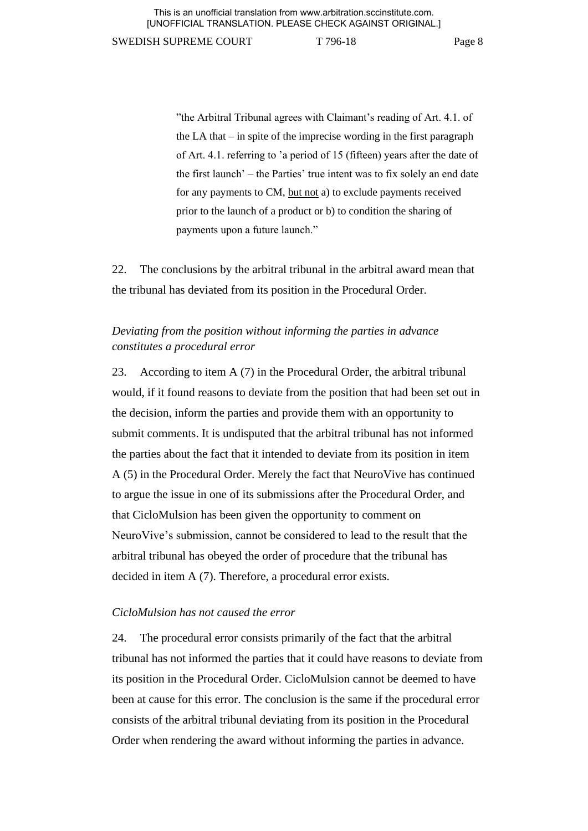"the Arbitral Tribunal agrees with Claimant's reading of Art. 4.1. of the LA that  $-$  in spite of the imprecise wording in the first paragraph of Art. 4.1. referring to 'a period of 15 (fifteen) years after the date of the first launch' – the Parties' true intent was to fix solely an end date for any payments to CM, but not a) to exclude payments received prior to the launch of a product or b) to condition the sharing of payments upon a future launch."

22. The conclusions by the arbitral tribunal in the arbitral award mean that the tribunal has deviated from its position in the Procedural Order.

# *Deviating from the position without informing the parties in advance constitutes a procedural error*

23. According to item A (7) in the Procedural Order, the arbitral tribunal would, if it found reasons to deviate from the position that had been set out in the decision, inform the parties and provide them with an opportunity to submit comments. It is undisputed that the arbitral tribunal has not informed the parties about the fact that it intended to deviate from its position in item A (5) in the Procedural Order. Merely the fact that NeuroVive has continued to argue the issue in one of its submissions after the Procedural Order, and that CicloMulsion has been given the opportunity to comment on NeuroVive's submission, cannot be considered to lead to the result that the arbitral tribunal has obeyed the order of procedure that the tribunal has decided in item A (7). Therefore, a procedural error exists.

#### *CicloMulsion has not caused the error*

24. The procedural error consists primarily of the fact that the arbitral tribunal has not informed the parties that it could have reasons to deviate from its position in the Procedural Order. CicloMulsion cannot be deemed to have been at cause for this error. The conclusion is the same if the procedural error consists of the arbitral tribunal deviating from its position in the Procedural Order when rendering the award without informing the parties in advance.